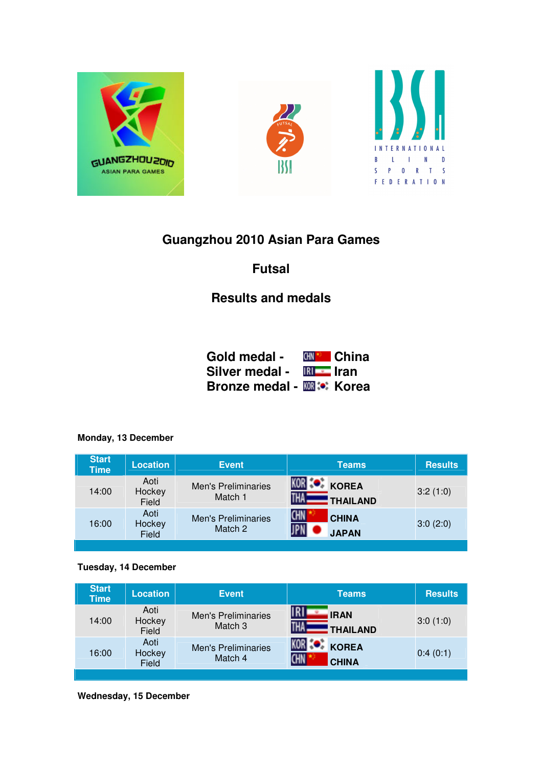





# **Guangzhou 2010 Asian Para Games**

## **Futsal**

# **Results and medals**

| Gold medal -                      |              | <b>⊮⊮ China</b> |
|-----------------------------------|--------------|-----------------|
| Silver medal -                    | $IRI = Iran$ |                 |
| <b>Bronze medal - KOR :</b> Korea |              |                 |

#### **Monday, 13 December**

| <b>Start</b><br><b>Time</b> | <b>Location</b>         | <b>Event</b>                          | <b>Teams</b>                               | <b>Results</b> |
|-----------------------------|-------------------------|---------------------------------------|--------------------------------------------|----------------|
| 14:00                       | Aoti<br>Hockey<br>Field | <b>Men's Preliminaries</b><br>Match 1 | <b>KOREA</b><br>THAILAND                   | 3:2(1:0)       |
| 16:00                       | Aoti<br>Hockey<br>Field | <b>Men's Preliminaries</b><br>Match 2 | <b>CHN</b><br><b>CHINA</b><br><b>JAPAN</b> | 3:0(2:0)       |

#### **Tuesday, 14 December**

| <b>Start</b><br><b>Time</b> | <b>Location</b>         | <b>Event</b>                          | <b>Teams</b>                               | <b>Results</b> |
|-----------------------------|-------------------------|---------------------------------------|--------------------------------------------|----------------|
| 14:00                       | Aoti<br>Hockey<br>Field | <b>Men's Preliminaries</b><br>Match 3 | IRI<br><b>IRAN</b><br>THAILAND             | 3:0(1:0)       |
| 16:00                       | Aoti<br>Hockey<br>Field | <b>Men's Preliminaries</b><br>Match 4 | <b>KOREA</b><br><b>CHN</b><br><b>CHINA</b> | 0:4(0:1)       |

**Wednesday, 15 December**